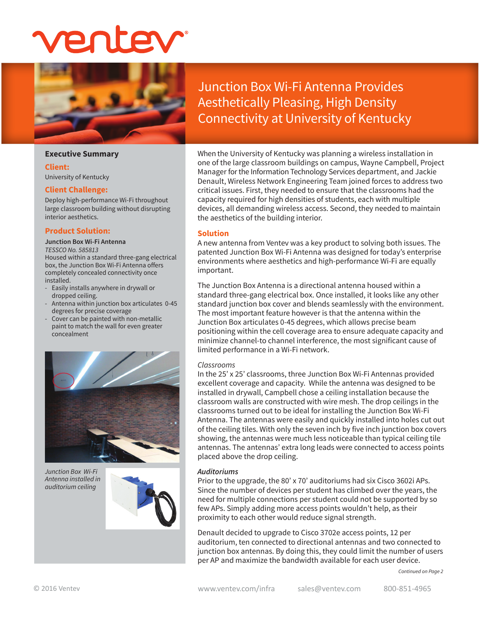

## **Executive Summary**

#### **Client:**

University of Kentucky

## **Client Challenge:**

Deploy high-performance Wi-Fi throughout large classroom building without disrupting interior aesthetics.

## **Product Solution:**

#### **Junction Box Wi-Fi Antenna**

*TESSCO No. 585813* Housed within a standard three-gang electrical box, the Junction Box Wi-Fi Antenna offers completely concealed connectivity once installed.

- Easily installs anywhere in drywall or dropped ceiling.
- Antenna within junction box articulates 0-45 degrees for precise coverage
- Cover can be painted with non-metallic paint to match the wall for even greater concealment



*Junction Box Wi-Fi Antenna installed in auditorium ceiling*



Junction Box Wi-Fi Antenna Provides Aesthetically Pleasing, High Density Connectivity at University of Kentucky

When the University of Kentucky was planning a wireless installation in one of the large classroom buildings on campus, Wayne Campbell, Project Manager for the Information Technology Services department, and Jackie Denault, Wireless Network Engineering Team joined forces to address two critical issues. First, they needed to ensure that the classrooms had the capacity required for high densities of students, each with multiple devices, all demanding wireless access. Second, they needed to maintain the aesthetics of the building interior.

## **Solution**

A new antenna from Ventev was a key product to solving both issues. The patented Junction Box Wi-Fi Antenna was designed for today's enterprise environments where aesthetics and high-performance Wi-Fi are equally important.

The Junction Box Antenna is a directional antenna housed within a standard three-gang electrical box. Once installed, it looks like any other standard junction box cover and blends seamlessly with the environment. The most important feature however is that the antenna within the Junction Box articulates 0-45 degrees, which allows precise beam positioning within the cell coverage area to ensure adequate capacity and minimize channel-to channel interference, the most significant cause of limited performance in a Wi-Fi network.

# *Classrooms*

In the 25' x 25' classrooms, three Junction Box Wi-Fi Antennas provided excellent coverage and capacity. While the antenna was designed to be installed in drywall, Campbell chose a ceiling installation because the classroom walls are constructed with wire mesh. The drop ceilings in the classrooms turned out to be ideal for installing the Junction Box Wi-Fi Antenna. The antennas were easily and quickly installed into holes cut out of the ceiling tiles. With only the seven inch by five inch junction box covers showing, the antennas were much less noticeable than typical ceiling tile antennas. The antennas' extra long leads were connected to access points placed above the drop ceiling.

# *Auditoriums*

Prior to the upgrade, the 80' x 70' auditoriums had six Cisco 3602i APs. Since the number of devices per student has climbed over the years, the need for multiple connections per student could not be supported by so few APs. Simply adding more access points wouldn't help, as their proximity to each other would reduce signal strength.

Denault decided to upgrade to Cisco 3702e access points, 12 per auditorium, ten connected to directional antennas and two connected to junction box antennas. By doing this, they could limit the number of users per AP and maximize the bandwidth available for each user device.